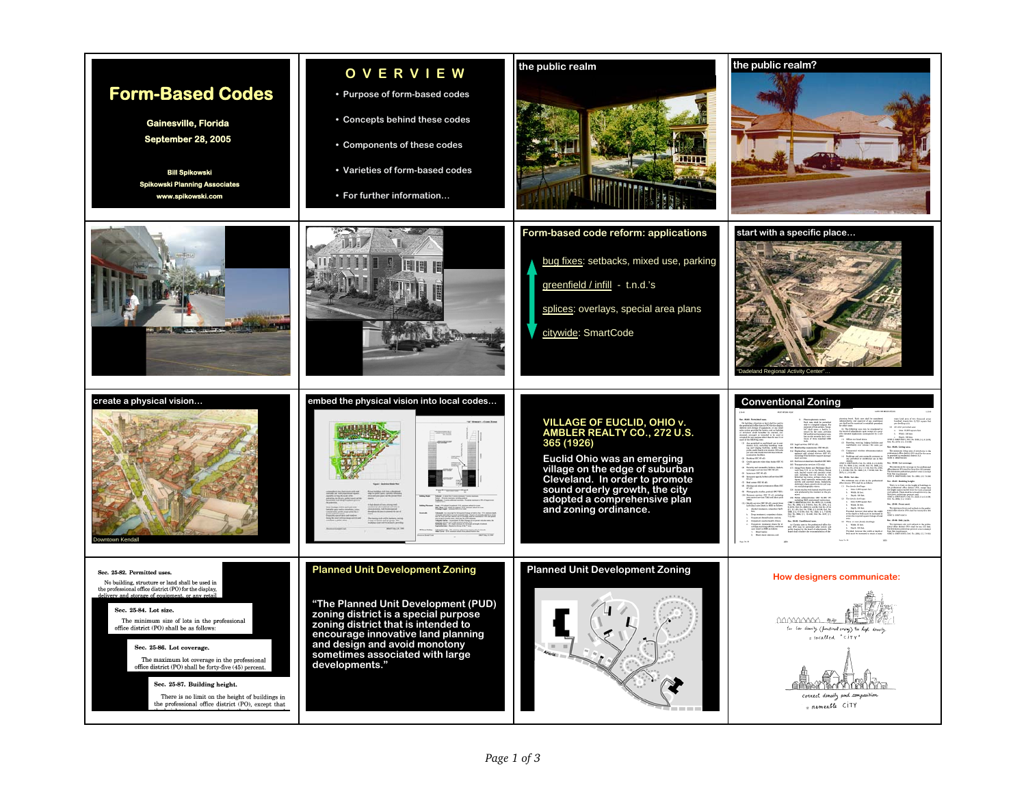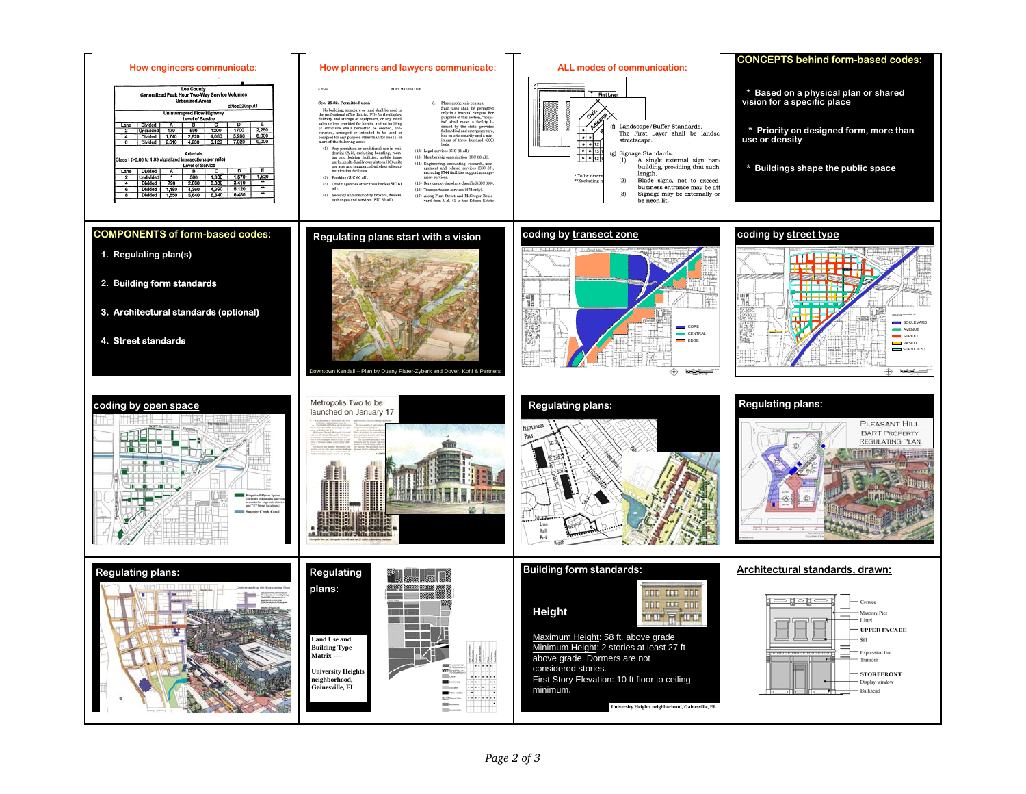